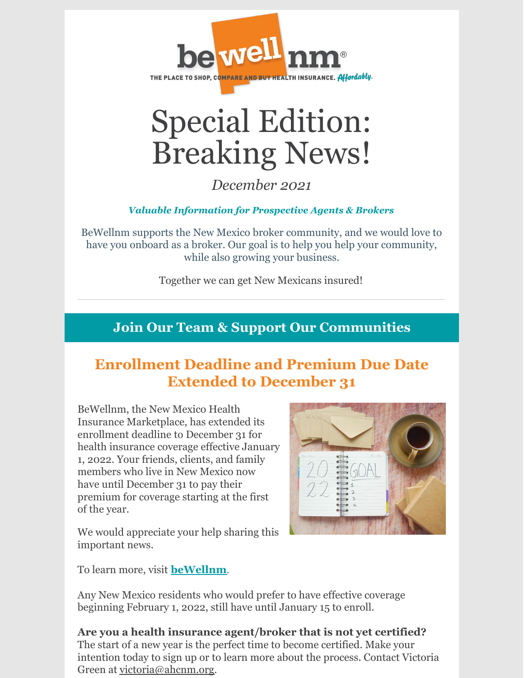

## Special Edition: Breaking News!

*December 2021*

*Valuable Information for Prospective Agents & Brokers*

BeWellnm supports the New Mexico broker community, and we would love to have you onboard as a broker. Our goal is to help you help your community, while also growing your business.

Together we can get New Mexicans insured!

## **Join Our Team & Support Our Communities**

## **Enrollment Deadline and Premium Due Date Extended to December 31**

BeWellnm, the New Mexico Health Insurance Marketplace, has extended its enrollment deadline to December 31 for health insurance coverage effective January 1, 2022. Your friends, clients, and family members who live in New Mexico now have until December 31 to pay their premium for coverage starting at the first of the year.



We would appreciate your help sharing this important news.

To learn more, visit **[beWellnm](https://www.bewellnm.com/)**.

Any New Mexico residents who would prefer to have effective coverage beginning February 1, 2022, still have until January 15 to enroll.

**Are you a health insurance agent/broker that is not yet certified?** The start of a new year is the perfect time to become certified. Make your intention today to sign up or to learn more about the process. Contact Victoria Green at [victoria@ahcnm.org](mailto:victoria@ahcnm.org).